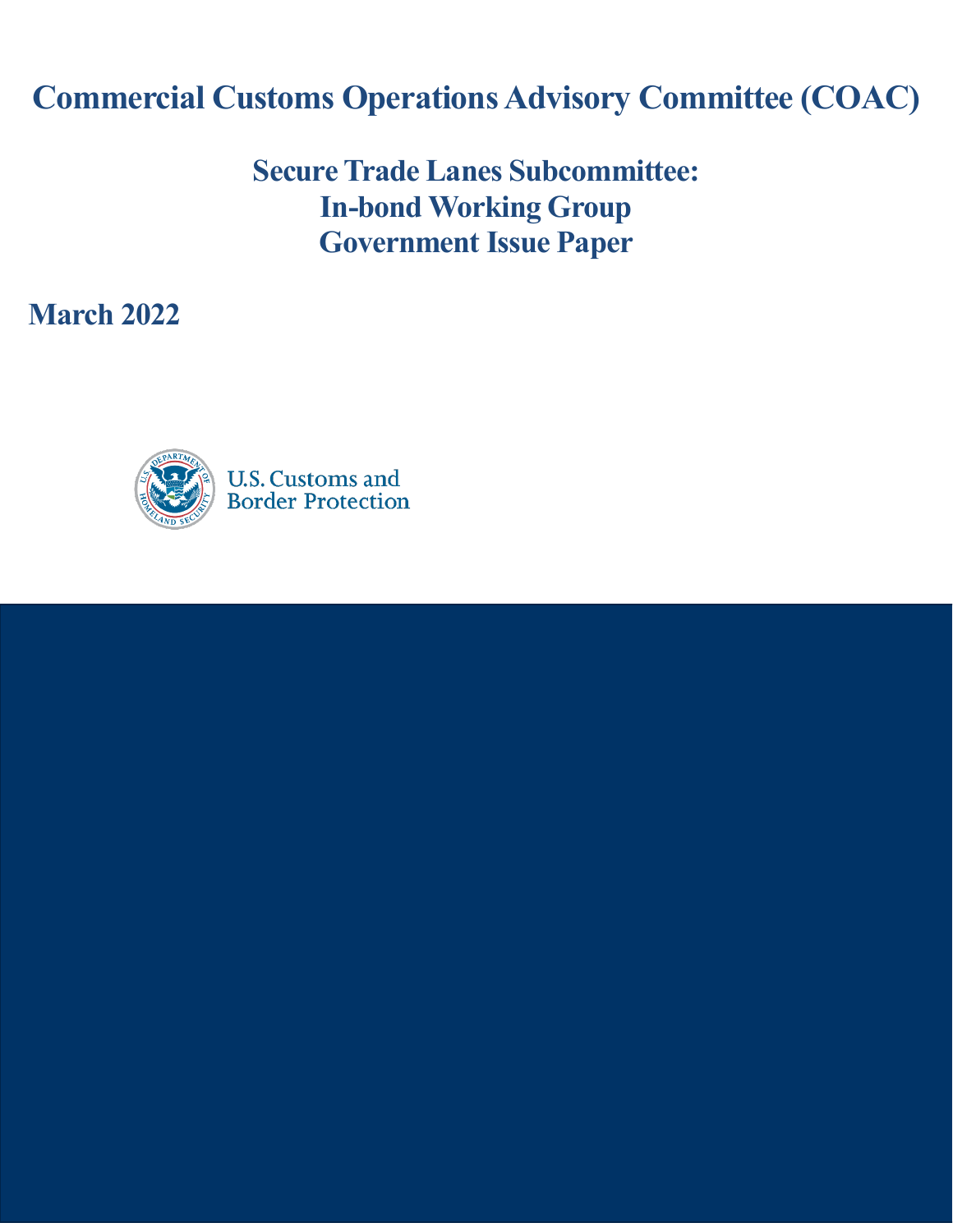# **Commercial Customs Operations Advisory Committee (COAC)**

# **Secure Trade Lanes Subcommittee: In-bond Working Group Government Issue Paper**

**March 2022**